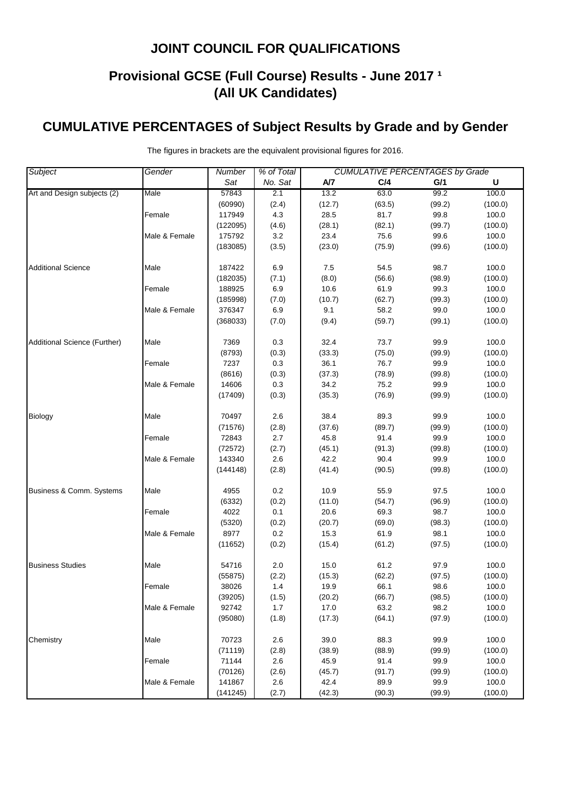# **Provisional GCSE (Full Course) Results - June 2017 <sup>1</sup> (All UK Candidates)**

# **CUMULATIVE PERCENTAGES of Subject Results by Grade and by Gender**

| Subject                      | Gender        | % of Total<br><b>CUMULATIVE PERCENTAGES by Grade</b><br>Number |         |        |        |        |         |
|------------------------------|---------------|----------------------------------------------------------------|---------|--------|--------|--------|---------|
|                              |               | Sat                                                            | No. Sat | A/7    | C/4    | G/1    | U       |
| Art and Design subjects (2)  | Male          | 57843                                                          | 2.1     | 13.2   | 63.0   | 99.2   | 100.0   |
|                              |               | (60990)                                                        | (2.4)   | (12.7) | (63.5) | (99.2) | (100.0) |
|                              | Female        | 117949                                                         | 4.3     | 28.5   | 81.7   | 99.8   | 100.0   |
|                              |               | (122095)                                                       | (4.6)   | (28.1) | (82.1) | (99.7) | (100.0) |
|                              | Male & Female | 175792                                                         | $3.2\,$ | 23.4   | 75.6   | 99.6   | 100.0   |
|                              |               | (183085)                                                       | (3.5)   | (23.0) | (75.9) | (99.6) | (100.0) |
| <b>Additional Science</b>    | Male          | 187422                                                         | 6.9     | 7.5    | 54.5   | 98.7   | 100.0   |
|                              |               | (182035)                                                       | (7.1)   | (8.0)  | (56.6) | (98.9) | (100.0) |
|                              | Female        | 188925                                                         | 6.9     | 10.6   | 61.9   | 99.3   | 100.0   |
|                              |               | (185998)                                                       | (7.0)   | (10.7) | (62.7) | (99.3) | (100.0) |
|                              | Male & Female | 376347                                                         | 6.9     | 9.1    | 58.2   | 99.0   | 100.0   |
|                              |               | (368033)                                                       | (7.0)   | (9.4)  | (59.7) | (99.1) | (100.0) |
| Additional Science (Further) | Male          | 7369                                                           | 0.3     | 32.4   | 73.7   | 99.9   | 100.0   |
|                              |               | (8793)                                                         | (0.3)   | (33.3) | (75.0) | (99.9) | (100.0) |
|                              | Female        | 7237                                                           | 0.3     | 36.1   | 76.7   | 99.9   | 100.0   |
|                              |               | (8616)                                                         | (0.3)   | (37.3) | (78.9) | (99.8) | (100.0) |
|                              | Male & Female | 14606                                                          | 0.3     | 34.2   | 75.2   | 99.9   | 100.0   |
|                              |               | (17409)                                                        | (0.3)   | (35.3) | (76.9) | (99.9) | (100.0) |
| Biology                      | Male          | 70497                                                          | 2.6     | 38.4   | 89.3   | 99.9   | 100.0   |
|                              |               | (71576)                                                        | (2.8)   | (37.6) | (89.7) | (99.9) | (100.0) |
|                              | Female        | 72843                                                          | 2.7     | 45.8   | 91.4   | 99.9   | 100.0   |
|                              |               | (72572)                                                        | (2.7)   | (45.1) | (91.3) | (99.8) | (100.0) |
|                              | Male & Female | 143340                                                         | 2.6     | 42.2   | 90.4   | 99.9   | 100.0   |
|                              |               | (144148)                                                       | (2.8)   | (41.4) | (90.5) | (99.8) | (100.0) |
| Business & Comm. Systems     | Male          | 4955                                                           | 0.2     | 10.9   | 55.9   | 97.5   | 100.0   |
|                              |               | (6332)                                                         | (0.2)   | (11.0) | (54.7) | (96.9) | (100.0) |
|                              | Female        | 4022                                                           | 0.1     | 20.6   | 69.3   | 98.7   | 100.0   |
|                              |               | (5320)                                                         | (0.2)   | (20.7) | (69.0) | (98.3) | (100.0) |
|                              | Male & Female | 8977                                                           | $0.2\,$ | 15.3   | 61.9   | 98.1   | 100.0   |
|                              |               | (11652)                                                        | (0.2)   | (15.4) | (61.2) | (97.5) | (100.0) |
| <b>Business Studies</b>      | Male          | 54716                                                          | 2.0     | 15.0   | 61.2   | 97.9   | 100.0   |
|                              |               | (55875)                                                        | (2.2)   | (15.3) | (62.2) | (97.5) | (100.0) |
|                              | Female        | 38026                                                          | 1.4     | 19.9   | 66.1   | 98.6   | 100.0   |
|                              |               | (39205)                                                        | (1.5)   | (20.2) | (66.7) | (98.5) | (100.0) |
|                              | Male & Female | 92742                                                          | 1.7     | 17.0   | 63.2   | 98.2   | 100.0   |
|                              |               | (95080)                                                        | (1.8)   | (17.3) | (64.1) | (97.9) | (100.0) |
| Chemistry                    | Male          | 70723                                                          | 2.6     | 39.0   | 88.3   | 99.9   | 100.0   |
|                              |               | (71119)                                                        | (2.8)   | (38.9) | (88.9) | (99.9) | (100.0) |
|                              | Female        | 71144                                                          | 2.6     | 45.9   | 91.4   | 99.9   | 100.0   |
|                              |               | (70126)                                                        | (2.6)   | (45.7) | (91.7) | (99.9) | (100.0) |
|                              | Male & Female | 141867                                                         | 2.6     | 42.4   | 89.9   | 99.9   | 100.0   |
|                              |               | (141245)                                                       | (2.7)   | (42.3) | (90.3) | (99.9) | (100.0) |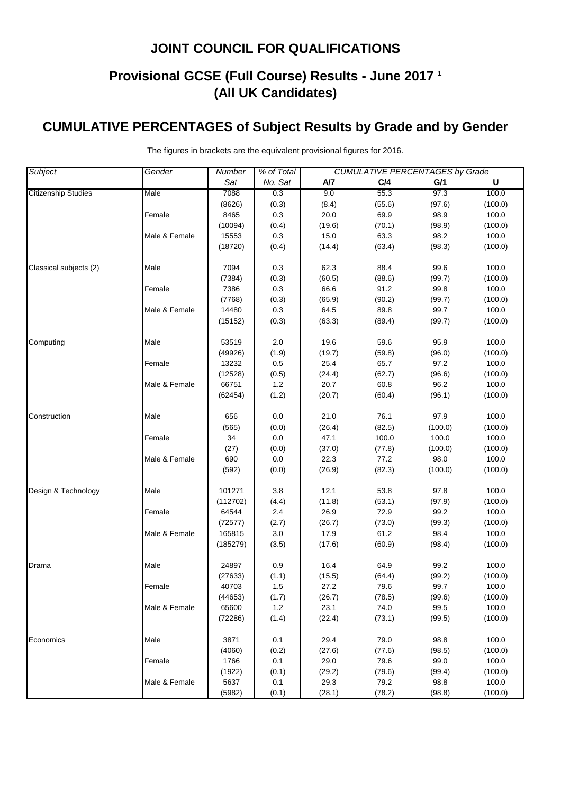# **Provisional GCSE (Full Course) Results - June 2017 <sup>1</sup> (All UK Candidates)**

# **CUMULATIVE PERCENTAGES of Subject Results by Grade and by Gender**

| <b>Subject</b>             | Gender        | <b>CUMULATIVE PERCENTAGES by Grade</b><br><b>Number</b><br>% of Total |         |        |        |         |         |  |
|----------------------------|---------------|-----------------------------------------------------------------------|---------|--------|--------|---------|---------|--|
|                            |               | Sat                                                                   | No. Sat | A/7    | C/4    | G/1     | U       |  |
| <b>Citizenship Studies</b> | Male          | 7088                                                                  | 0.3     | 9.0    | 55.3   | 97.3    | 100.0   |  |
|                            |               | (8626)                                                                | (0.3)   | (8.4)  | (55.6) | (97.6)  | (100.0) |  |
|                            | Female        | 8465                                                                  | 0.3     | 20.0   | 69.9   | 98.9    | 100.0   |  |
|                            |               | (10094)                                                               | (0.4)   | (19.6) | (70.1) | (98.9)  | (100.0) |  |
|                            | Male & Female | 15553                                                                 | 0.3     | 15.0   | 63.3   | 98.2    | 100.0   |  |
|                            |               | (18720)                                                               | (0.4)   | (14.4) | (63.4) | (98.3)  | (100.0) |  |
| Classical subjects (2)     | Male          | 7094                                                                  | 0.3     | 62.3   | 88.4   | 99.6    | 100.0   |  |
|                            |               | (7384)                                                                | (0.3)   | (60.5) | (88.6) | (99.7)  | (100.0) |  |
|                            | Female        | 7386                                                                  | 0.3     | 66.6   | 91.2   | 99.8    | 100.0   |  |
|                            |               | (7768)                                                                | (0.3)   | (65.9) | (90.2) | (99.7)  | (100.0) |  |
|                            | Male & Female | 14480                                                                 | 0.3     | 64.5   | 89.8   | 99.7    | 100.0   |  |
|                            |               | (15152)                                                               | (0.3)   | (63.3) | (89.4) | (99.7)  | (100.0) |  |
| Computing                  | Male          | 53519                                                                 | 2.0     | 19.6   | 59.6   | 95.9    | 100.0   |  |
|                            |               | (49926)                                                               | (1.9)   | (19.7) | (59.8) | (96.0)  | (100.0) |  |
|                            | Female        | 13232                                                                 | 0.5     | 25.4   | 65.7   | 97.2    | 100.0   |  |
|                            |               | (12528)                                                               | (0.5)   | (24.4) | (62.7) | (96.6)  | (100.0) |  |
|                            | Male & Female | 66751                                                                 | $1.2$   | 20.7   | 60.8   | 96.2    | 100.0   |  |
|                            |               | (62454)                                                               | (1.2)   | (20.7) | (60.4) | (96.1)  | (100.0) |  |
| Construction               | Male          | 656                                                                   | 0.0     | 21.0   | 76.1   | 97.9    | 100.0   |  |
|                            |               | (565)                                                                 | (0.0)   | (26.4) | (82.5) | (100.0) | (100.0) |  |
|                            | Female        | 34                                                                    | $0.0\,$ | 47.1   | 100.0  | 100.0   | 100.0   |  |
|                            |               | (27)                                                                  | (0.0)   | (37.0) | (77.8) | (100.0) | (100.0) |  |
|                            | Male & Female | 690                                                                   | $0.0\,$ | 22.3   | 77.2   | 98.0    | 100.0   |  |
|                            |               | (592)                                                                 | (0.0)   | (26.9) | (82.3) | (100.0) | (100.0) |  |
| Design & Technology        | Male          | 101271                                                                | 3.8     | 12.1   | 53.8   | 97.8    | 100.0   |  |
|                            |               | (112702)                                                              | (4.4)   | (11.8) | (53.1) | (97.9)  | (100.0) |  |
|                            | Female        | 64544                                                                 | 2.4     | 26.9   | 72.9   | 99.2    | 100.0   |  |
|                            |               | (72577)                                                               | (2.7)   | (26.7) | (73.0) | (99.3)  | (100.0) |  |
|                            | Male & Female | 165815                                                                | 3.0     | 17.9   | 61.2   | 98.4    | 100.0   |  |
|                            |               | (185279)                                                              | (3.5)   | (17.6) | (60.9) | (98.4)  | (100.0) |  |
| Drama                      | Male          | 24897                                                                 | $0.9\,$ | 16.4   | 64.9   | 99.2    | 100.0   |  |
|                            |               | (27633)                                                               | (1.1)   | (15.5) | (64.4) | (99.2)  | (100.0) |  |
|                            | Female        | 40703                                                                 | 1.5     | 27.2   | 79.6   | 99.7    | 100.0   |  |
|                            |               | (44653)                                                               | (1.7)   | (26.7) | (78.5) | (99.6)  | (100.0) |  |
|                            | Male & Female | 65600                                                                 | $1.2$   | 23.1   | 74.0   | 99.5    | 100.0   |  |
|                            |               | (72286)                                                               | (1.4)   | (22.4) | (73.1) | (99.5)  | (100.0) |  |
| Economics                  | Male          | 3871                                                                  | 0.1     | 29.4   | 79.0   | 98.8    | 100.0   |  |
|                            |               | (4060)                                                                | (0.2)   | (27.6) | (77.6) | (98.5)  | (100.0) |  |
|                            | Female        | 1766                                                                  | 0.1     | 29.0   | 79.6   | 99.0    | 100.0   |  |
|                            |               | (1922)                                                                | (0.1)   | (29.2) | (79.6) | (99.4)  | (100.0) |  |
|                            | Male & Female | 5637                                                                  | 0.1     | 29.3   | 79.2   | 98.8    | 100.0   |  |
|                            |               | (5982)                                                                | (0.1)   | (28.1) | (78.2) | (98.8)  | (100.0) |  |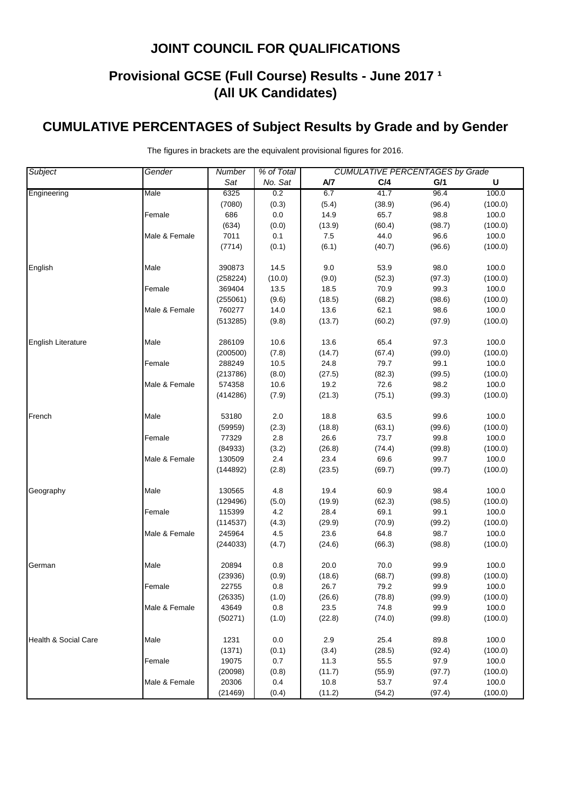# **Provisional GCSE (Full Course) Results - June 2017 <sup>1</sup> (All UK Candidates)**

# **CUMULATIVE PERCENTAGES of Subject Results by Grade and by Gender**

| <b>Subject</b>            | Gender        | <b>Number</b> | % of Total | <b>CUMULATIVE PERCENTAGES by Grade</b> |        |        |         |
|---------------------------|---------------|---------------|------------|----------------------------------------|--------|--------|---------|
|                           |               | Sat           | No. Sat    | A/7                                    | C/4    | G/1    | U       |
| Engineering               | Male          | 6325          | 0.2        | 6.7                                    | 41.7   | 96.4   | 100.0   |
|                           |               | (7080)        | (0.3)      | (5.4)                                  | (38.9) | (96.4) | (100.0) |
|                           | Female        | 686           | 0.0        | 14.9                                   | 65.7   | 98.8   | 100.0   |
|                           |               | (634)         | (0.0)      | (13.9)                                 | (60.4) | (98.7) | (100.0) |
|                           | Male & Female | 7011          | 0.1        | 7.5                                    | 44.0   | 96.6   | 100.0   |
|                           |               | (7714)        | (0.1)      | (6.1)                                  | (40.7) | (96.6) | (100.0) |
| English                   | Male          | 390873        | 14.5       | 9.0                                    | 53.9   | 98.0   | 100.0   |
|                           |               | (258224)      | (10.0)     | (9.0)                                  | (52.3) | (97.3) | (100.0) |
|                           | Female        | 369404        | 13.5       | 18.5                                   | 70.9   | 99.3   | 100.0   |
|                           |               | (255061)      | (9.6)      | (18.5)                                 | (68.2) | (98.6) | (100.0) |
|                           | Male & Female | 760277        | 14.0       | 13.6                                   | 62.1   | 98.6   | 100.0   |
|                           |               | (513285)      | (9.8)      | (13.7)                                 | (60.2) | (97.9) | (100.0) |
| <b>English Literature</b> | Male          | 286109        | 10.6       | 13.6                                   | 65.4   | 97.3   | 100.0   |
|                           |               | (200500)      | (7.8)      | (14.7)                                 | (67.4) | (99.0) | (100.0) |
|                           | Female        | 288249        | 10.5       | 24.8                                   | 79.7   | 99.1   | 100.0   |
|                           |               | (213786)      | (8.0)      | (27.5)                                 | (82.3) | (99.5) | (100.0) |
|                           | Male & Female | 574358        | 10.6       | 19.2                                   | 72.6   | 98.2   | 100.0   |
|                           |               | (414286)      | (7.9)      | (21.3)                                 | (75.1) | (99.3) | (100.0) |
|                           |               |               |            |                                        |        |        |         |
| French                    | Male          | 53180         | 2.0        | 18.8                                   | 63.5   | 99.6   | 100.0   |
|                           |               | (59959)       | (2.3)      | (18.8)                                 | (63.1) | (99.6) | (100.0) |
|                           | Female        | 77329         | 2.8        | 26.6                                   | 73.7   | 99.8   | 100.0   |
|                           |               | (84933)       | (3.2)      | (26.8)                                 | (74.4) | (99.8) | (100.0) |
|                           | Male & Female | 130509        | 2.4        | 23.4                                   | 69.6   | 99.7   | 100.0   |
|                           |               | (144892)      | (2.8)      | (23.5)                                 | (69.7) | (99.7) | (100.0) |
| Geography                 | Male          | 130565        | 4.8        | 19.4                                   | 60.9   | 98.4   | 100.0   |
|                           |               | (129496)      | (5.0)      | (19.9)                                 | (62.3) | (98.5) | (100.0) |
|                           | Female        | 115399        | 4.2        | 28.4                                   | 69.1   | 99.1   | 100.0   |
|                           |               | (114537)      | (4.3)      | (29.9)                                 | (70.9) | (99.2) | (100.0) |
|                           | Male & Female | 245964        | 4.5        | 23.6                                   | 64.8   | 98.7   | 100.0   |
|                           |               | (244033)      | (4.7)      | (24.6)                                 | (66.3) | (98.8) | (100.0) |
| German                    | Male          | 20894         | 0.8        | 20.0                                   | 70.0   | 99.9   | 100.0   |
|                           |               | (23936)       | (0.9)      | (18.6)                                 | (68.7) | (99.8) | (100.0) |
|                           | Female        | 22755         | 0.8        | 26.7                                   | 79.2   | 99.9   | 100.0   |
|                           |               | (26335)       | (1.0)      | (26.6)                                 | (78.8) | (99.9) | (100.0) |
|                           | Male & Female | 43649         | 0.8        | 23.5                                   | 74.8   | 99.9   | 100.0   |
|                           |               | (50271)       | (1.0)      | (22.8)                                 | (74.0) | (99.8) | (100.0) |
|                           |               |               |            |                                        |        |        |         |
| Health & Social Care      | Male          | 1231          | 0.0        | 2.9                                    | 25.4   | 89.8   | 100.0   |
|                           |               | (1371)        | (0.1)      | (3.4)                                  | (28.5) | (92.4) | (100.0) |
|                           | Female        | 19075         | 0.7        | 11.3                                   | 55.5   | 97.9   | 100.0   |
|                           |               | (20098)       | (0.8)      | (11.7)                                 | (55.9) | (97.7) | (100.0) |
|                           | Male & Female | 20306         | 0.4        | 10.8                                   | 53.7   | 97.4   | 100.0   |
|                           |               | (21469)       | (0.4)      | (11.2)                                 | (54.2) | (97.4) | (100.0) |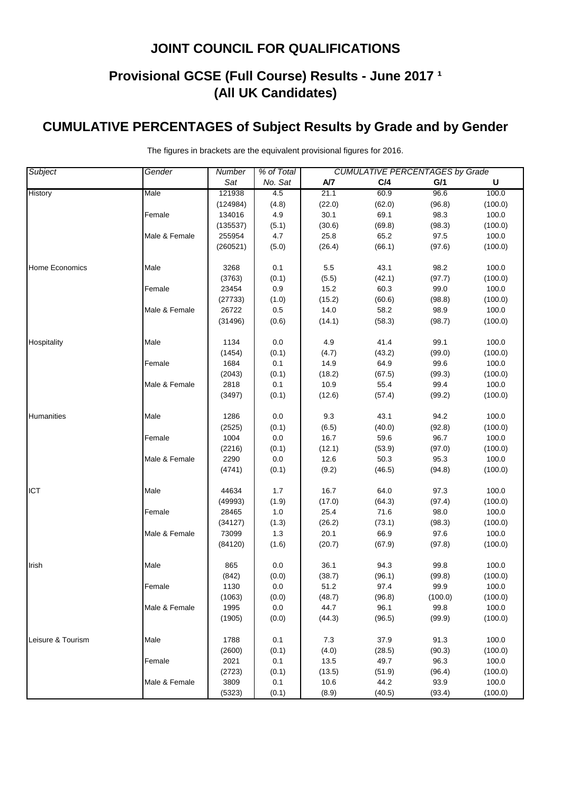# **Provisional GCSE (Full Course) Results - June 2017 <sup>1</sup> (All UK Candidates)**

# **CUMULATIVE PERCENTAGES of Subject Results by Grade and by Gender**

| <b>Subject</b>        | Gender        | Number   | % of Total | <b>CUMULATIVE PERCENTAGES by Grade</b> |        |         |             |  |
|-----------------------|---------------|----------|------------|----------------------------------------|--------|---------|-------------|--|
|                       |               | Sat      | No. Sat    | A/7                                    | C/4    | G/1     | $\mathsf U$ |  |
| History               | Male          | 121938   | 4.5        | 21.1                                   | 60.9   | 96.6    | 100.0       |  |
|                       |               | (124984) | (4.8)      | (22.0)                                 | (62.0) | (96.8)  | (100.0)     |  |
|                       | Female        | 134016   | 4.9        | 30.1                                   | 69.1   | 98.3    | 100.0       |  |
|                       |               | (135537) | (5.1)      | (30.6)                                 | (69.8) | (98.3)  | (100.0)     |  |
|                       | Male & Female | 255954   | 4.7        | 25.8                                   | 65.2   | 97.5    | 100.0       |  |
|                       |               | (260521) | (5.0)      | (26.4)                                 | (66.1) | (97.6)  | (100.0)     |  |
| <b>Home Economics</b> | Male          | 3268     | 0.1        | 5.5                                    | 43.1   | 98.2    | 100.0       |  |
|                       |               | (3763)   | (0.1)      | (5.5)                                  | (42.1) | (97.7)  | (100.0)     |  |
|                       | Female        | 23454    | 0.9        | 15.2                                   | 60.3   | 99.0    | 100.0       |  |
|                       |               | (27733)  | (1.0)      | (15.2)                                 | (60.6) | (98.8)  | (100.0)     |  |
|                       | Male & Female | 26722    | 0.5        | 14.0                                   | 58.2   | 98.9    | 100.0       |  |
|                       |               | (31496)  | (0.6)      | (14.1)                                 | (58.3) | (98.7)  | (100.0)     |  |
| Hospitality           | Male          | 1134     | 0.0        | 4.9                                    | 41.4   | 99.1    | 100.0       |  |
|                       |               | (1454)   | (0.1)      | (4.7)                                  | (43.2) | (99.0)  | (100.0)     |  |
|                       | Female        | 1684     | 0.1        | 14.9                                   | 64.9   | 99.6    | 100.0       |  |
|                       |               | (2043)   | (0.1)      | (18.2)                                 | (67.5) | (99.3)  | (100.0)     |  |
|                       | Male & Female | 2818     | 0.1        | 10.9                                   | 55.4   | 99.4    | 100.0       |  |
|                       |               | (3497)   | (0.1)      | (12.6)                                 | (57.4) | (99.2)  | (100.0)     |  |
| Humanities            | Male          | 1286     | 0.0        | 9.3                                    | 43.1   | 94.2    | 100.0       |  |
|                       |               | (2525)   | (0.1)      | (6.5)                                  | (40.0) | (92.8)  | (100.0)     |  |
|                       | Female        | 1004     | 0.0        | 16.7                                   | 59.6   | 96.7    | 100.0       |  |
|                       |               | (2216)   | (0.1)      | (12.1)                                 | (53.9) | (97.0)  | (100.0)     |  |
|                       | Male & Female | 2290     | 0.0        | 12.6                                   | 50.3   | 95.3    | 100.0       |  |
|                       |               | (4741)   | (0.1)      | (9.2)                                  | (46.5) | (94.8)  | (100.0)     |  |
| <b>ICT</b>            | Male          | 44634    | 1.7        | 16.7                                   | 64.0   | 97.3    | 100.0       |  |
|                       |               | (49993)  | (1.9)      | (17.0)                                 | (64.3) | (97.4)  | (100.0)     |  |
|                       | Female        | 28465    | 1.0        | 25.4                                   | 71.6   | 98.0    | 100.0       |  |
|                       |               | (34127)  | (1.3)      | (26.2)                                 | (73.1) | (98.3)  | (100.0)     |  |
|                       | Male & Female | 73099    | 1.3        | 20.1                                   | 66.9   | 97.6    | 100.0       |  |
|                       |               | (84120)  | (1.6)      | (20.7)                                 | (67.9) | (97.8)  | (100.0)     |  |
| Irish                 | Male          | 865      | 0.0        | 36.1                                   | 94.3   | 99.8    | 100.0       |  |
|                       |               | (842)    | (0.0)      | (38.7)                                 | (96.1) | (99.8)  | (100.0)     |  |
|                       | Female        | 1130     | 0.0        | 51.2                                   | 97.4   | 99.9    | 100.0       |  |
|                       |               | (1063)   | (0.0)      | (48.7)                                 | (96.8) | (100.0) | (100.0)     |  |
|                       | Male & Female | 1995     | 0.0        | 44.7                                   | 96.1   | 99.8    | 100.0       |  |
|                       |               | (1905)   | (0.0)      | (44.3)                                 | (96.5) | (99.9)  | (100.0)     |  |
| Leisure & Tourism     | Male          | 1788     | 0.1        | 7.3                                    | 37.9   | 91.3    | 100.0       |  |
|                       |               | (2600)   | (0.1)      | (4.0)                                  | (28.5) | (90.3)  | (100.0)     |  |
|                       | Female        | 2021     | 0.1        | 13.5                                   | 49.7   | 96.3    | 100.0       |  |
|                       |               | (2723)   | (0.1)      | (13.5)                                 | (51.9) | (96.4)  | (100.0)     |  |
|                       | Male & Female | 3809     | 0.1        | 10.6                                   | 44.2   | 93.9    | 100.0       |  |
|                       |               | (5323)   | (0.1)      | (8.9)                                  | (40.5) | (93.4)  | (100.0)     |  |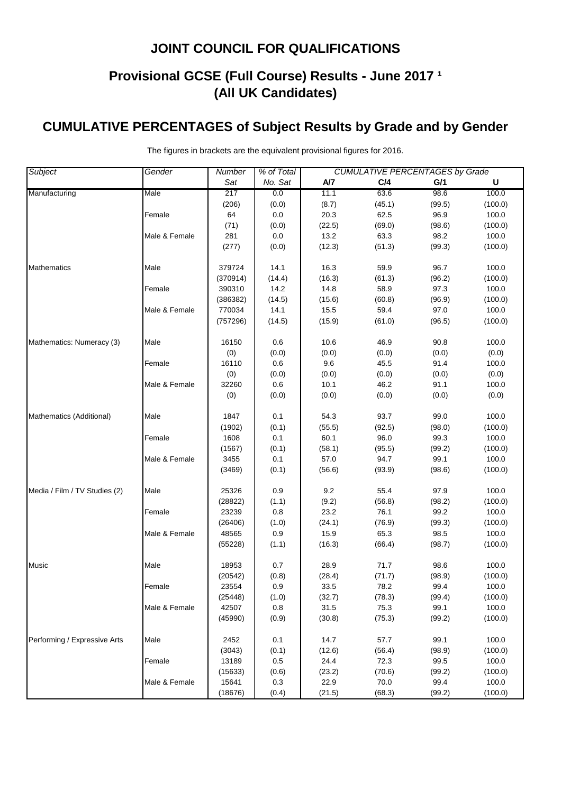# **Provisional GCSE (Full Course) Results - June 2017 <sup>1</sup> (All UK Candidates)**

# **CUMULATIVE PERCENTAGES of Subject Results by Grade and by Gender**

| No. Sat<br>Sat<br>A/7<br>C/4<br>G/1<br>U<br>63.6<br>98.6<br>100.0<br>Male<br>217<br>0.0<br>11.1<br>(8.7)<br>(45.1)<br>(99.5)<br>(100.0)<br>(206)<br>(0.0)<br>0.0<br>20.3<br>62.5<br>96.9<br>100.0<br>Female<br>64<br>(71)<br>(0.0)<br>(22.5)<br>(69.0)<br>(98.6)<br>(100.0)<br>$0.0\,$<br>13.2<br>63.3<br>98.2<br>Male & Female<br>281<br>100.0<br>(0.0)<br>(12.3)<br>(51.3)<br>(277)<br>(99.3)<br>(100.0)<br>100.0<br>Male<br>379724<br>14.1<br>16.3<br>59.9<br>96.7<br>(14.4)<br>(16.3)<br>(61.3)<br>(96.2)<br>(370914)<br>(100.0)<br>390310<br>14.2<br>14.8<br>58.9<br>97.3<br>100.0<br>Female<br>(386382)<br>(14.5)<br>(15.6)<br>(60.8)<br>(96.9)<br>(100.0)<br>770034<br>14.1<br>15.5<br>59.4<br>97.0<br>100.0<br>Male & Female<br>(757296)<br>(14.5)<br>(15.9)<br>(61.0)<br>(96.5)<br>(100.0)<br>Male<br>16150<br>0.6<br>10.6<br>46.9<br>90.8<br>100.0<br>(0)<br>(0.0)<br>(0.0)<br>(0.0)<br>(0.0)<br>(0.0)<br>0.6<br>9.6<br>45.5<br>100.0<br>Female<br>16110<br>91.4<br>(0)<br>(0.0)<br>(0.0)<br>(0.0)<br>(0.0)<br>(0.0)<br>0.6<br>46.2<br>32260<br>10.1<br>91.1<br>100.0<br>Male & Female<br>(0.0)<br>(0)<br>(0.0)<br>(0.0)<br>(0.0)<br>(0.0)<br>54.3<br>99.0<br>100.0<br>Mathematics (Additional)<br>Male<br>1847<br>0.1<br>93.7<br>(0.1)<br>(55.5)<br>(98.0)<br>(1902)<br>(92.5)<br>(100.0)<br>0.1<br>60.1<br>96.0<br>99.3<br>100.0<br>Female<br>1608<br>(58.1)<br>(0.1)<br>(95.5)<br>(99.2)<br>(100.0)<br>(1567)<br>3455<br>0.1<br>57.0<br>94.7<br>99.1<br>100.0<br>Male & Female<br>(3469)<br>(0.1)<br>(56.6)<br>(100.0)<br>(93.9)<br>(98.6)<br>0.9<br>9.2<br>55.4<br>100.0<br>Media / Film / TV Studies (2)<br>Male<br>25326<br>97.9<br>(1.1)<br>(9.2)<br>(56.8)<br>(98.2)<br>(100.0)<br>(28822)<br>0.8<br>23.2<br>76.1<br>99.2<br>100.0<br>Female<br>23239<br>(26406)<br>(1.0)<br>(24.1)<br>(76.9)<br>(99.3)<br>(100.0)<br>48565<br>0.9<br>65.3<br>100.0<br>Male & Female<br>15.9<br>98.5<br>(1.1)<br>(100.0)<br>(55228)<br>(16.3)<br>(66.4)<br>(98.7)<br>98.6<br>18953<br>0.7<br>28.9<br>71.7<br>100.0<br>Music<br>Male<br>(0.8)<br>(28.4)<br>(71.7)<br>(98.9)<br>(100.0)<br>(20542)<br>0.9<br>33.5<br>78.2<br>99.4<br>23554<br>100.0<br>Female<br>(1.0)<br>(32.7)<br>(78.3)<br>(99.4)<br>(100.0)<br>(25448)<br>31.5<br>42507<br>0.8<br>75.3<br>99.1<br>100.0<br>Male & Female<br>(45990)<br>(0.9)<br>(30.8)<br>(75.3)<br>(99.2)<br>(100.0)<br>Performing / Expressive Arts<br>99.1<br>100.0<br>2452<br>0.1<br>14.7<br>57.7<br>Male<br>(0.1)<br>(12.6)<br>(56.4)<br>(98.9)<br>(100.0)<br>(3043)<br>24.4<br>13189<br>0.5<br>72.3<br>99.5<br>100.0<br>Female<br>(0.6)<br>(23.2)<br>(70.6)<br>(99.2)<br>(100.0)<br>(15633)<br>22.9<br>Male & Female<br>15641<br>0.3<br>70.0<br>99.4<br>100.0<br>(100.0)<br>(18676)<br>(0.4)<br>(21.5)<br>(68.3)<br>(99.2) | Subject                   | Gender | % of Total<br><b>CUMULATIVE PERCENTAGES by Grade</b><br><b>Number</b> |  |  |  |  |  |  |
|----------------------------------------------------------------------------------------------------------------------------------------------------------------------------------------------------------------------------------------------------------------------------------------------------------------------------------------------------------------------------------------------------------------------------------------------------------------------------------------------------------------------------------------------------------------------------------------------------------------------------------------------------------------------------------------------------------------------------------------------------------------------------------------------------------------------------------------------------------------------------------------------------------------------------------------------------------------------------------------------------------------------------------------------------------------------------------------------------------------------------------------------------------------------------------------------------------------------------------------------------------------------------------------------------------------------------------------------------------------------------------------------------------------------------------------------------------------------------------------------------------------------------------------------------------------------------------------------------------------------------------------------------------------------------------------------------------------------------------------------------------------------------------------------------------------------------------------------------------------------------------------------------------------------------------------------------------------------------------------------------------------------------------------------------------------------------------------------------------------------------------------------------------------------------------------------------------------------------------------------------------------------------------------------------------------------------------------------------------------------------------------------------------------------------------------------------------------------------------------------------------------------------------------------------------------------------------------------------------------------------------------------------------------------------------------------------------------------------------------------------------------------|---------------------------|--------|-----------------------------------------------------------------------|--|--|--|--|--|--|
|                                                                                                                                                                                                                                                                                                                                                                                                                                                                                                                                                                                                                                                                                                                                                                                                                                                                                                                                                                                                                                                                                                                                                                                                                                                                                                                                                                                                                                                                                                                                                                                                                                                                                                                                                                                                                                                                                                                                                                                                                                                                                                                                                                                                                                                                                                                                                                                                                                                                                                                                                                                                                                                                                                                                                                      |                           |        |                                                                       |  |  |  |  |  |  |
|                                                                                                                                                                                                                                                                                                                                                                                                                                                                                                                                                                                                                                                                                                                                                                                                                                                                                                                                                                                                                                                                                                                                                                                                                                                                                                                                                                                                                                                                                                                                                                                                                                                                                                                                                                                                                                                                                                                                                                                                                                                                                                                                                                                                                                                                                                                                                                                                                                                                                                                                                                                                                                                                                                                                                                      | Manufacturing             |        |                                                                       |  |  |  |  |  |  |
|                                                                                                                                                                                                                                                                                                                                                                                                                                                                                                                                                                                                                                                                                                                                                                                                                                                                                                                                                                                                                                                                                                                                                                                                                                                                                                                                                                                                                                                                                                                                                                                                                                                                                                                                                                                                                                                                                                                                                                                                                                                                                                                                                                                                                                                                                                                                                                                                                                                                                                                                                                                                                                                                                                                                                                      |                           |        |                                                                       |  |  |  |  |  |  |
|                                                                                                                                                                                                                                                                                                                                                                                                                                                                                                                                                                                                                                                                                                                                                                                                                                                                                                                                                                                                                                                                                                                                                                                                                                                                                                                                                                                                                                                                                                                                                                                                                                                                                                                                                                                                                                                                                                                                                                                                                                                                                                                                                                                                                                                                                                                                                                                                                                                                                                                                                                                                                                                                                                                                                                      |                           |        |                                                                       |  |  |  |  |  |  |
|                                                                                                                                                                                                                                                                                                                                                                                                                                                                                                                                                                                                                                                                                                                                                                                                                                                                                                                                                                                                                                                                                                                                                                                                                                                                                                                                                                                                                                                                                                                                                                                                                                                                                                                                                                                                                                                                                                                                                                                                                                                                                                                                                                                                                                                                                                                                                                                                                                                                                                                                                                                                                                                                                                                                                                      |                           |        |                                                                       |  |  |  |  |  |  |
|                                                                                                                                                                                                                                                                                                                                                                                                                                                                                                                                                                                                                                                                                                                                                                                                                                                                                                                                                                                                                                                                                                                                                                                                                                                                                                                                                                                                                                                                                                                                                                                                                                                                                                                                                                                                                                                                                                                                                                                                                                                                                                                                                                                                                                                                                                                                                                                                                                                                                                                                                                                                                                                                                                                                                                      |                           |        |                                                                       |  |  |  |  |  |  |
|                                                                                                                                                                                                                                                                                                                                                                                                                                                                                                                                                                                                                                                                                                                                                                                                                                                                                                                                                                                                                                                                                                                                                                                                                                                                                                                                                                                                                                                                                                                                                                                                                                                                                                                                                                                                                                                                                                                                                                                                                                                                                                                                                                                                                                                                                                                                                                                                                                                                                                                                                                                                                                                                                                                                                                      |                           |        |                                                                       |  |  |  |  |  |  |
|                                                                                                                                                                                                                                                                                                                                                                                                                                                                                                                                                                                                                                                                                                                                                                                                                                                                                                                                                                                                                                                                                                                                                                                                                                                                                                                                                                                                                                                                                                                                                                                                                                                                                                                                                                                                                                                                                                                                                                                                                                                                                                                                                                                                                                                                                                                                                                                                                                                                                                                                                                                                                                                                                                                                                                      | <b>Mathematics</b>        |        |                                                                       |  |  |  |  |  |  |
|                                                                                                                                                                                                                                                                                                                                                                                                                                                                                                                                                                                                                                                                                                                                                                                                                                                                                                                                                                                                                                                                                                                                                                                                                                                                                                                                                                                                                                                                                                                                                                                                                                                                                                                                                                                                                                                                                                                                                                                                                                                                                                                                                                                                                                                                                                                                                                                                                                                                                                                                                                                                                                                                                                                                                                      |                           |        |                                                                       |  |  |  |  |  |  |
|                                                                                                                                                                                                                                                                                                                                                                                                                                                                                                                                                                                                                                                                                                                                                                                                                                                                                                                                                                                                                                                                                                                                                                                                                                                                                                                                                                                                                                                                                                                                                                                                                                                                                                                                                                                                                                                                                                                                                                                                                                                                                                                                                                                                                                                                                                                                                                                                                                                                                                                                                                                                                                                                                                                                                                      |                           |        |                                                                       |  |  |  |  |  |  |
|                                                                                                                                                                                                                                                                                                                                                                                                                                                                                                                                                                                                                                                                                                                                                                                                                                                                                                                                                                                                                                                                                                                                                                                                                                                                                                                                                                                                                                                                                                                                                                                                                                                                                                                                                                                                                                                                                                                                                                                                                                                                                                                                                                                                                                                                                                                                                                                                                                                                                                                                                                                                                                                                                                                                                                      |                           |        |                                                                       |  |  |  |  |  |  |
|                                                                                                                                                                                                                                                                                                                                                                                                                                                                                                                                                                                                                                                                                                                                                                                                                                                                                                                                                                                                                                                                                                                                                                                                                                                                                                                                                                                                                                                                                                                                                                                                                                                                                                                                                                                                                                                                                                                                                                                                                                                                                                                                                                                                                                                                                                                                                                                                                                                                                                                                                                                                                                                                                                                                                                      |                           |        |                                                                       |  |  |  |  |  |  |
|                                                                                                                                                                                                                                                                                                                                                                                                                                                                                                                                                                                                                                                                                                                                                                                                                                                                                                                                                                                                                                                                                                                                                                                                                                                                                                                                                                                                                                                                                                                                                                                                                                                                                                                                                                                                                                                                                                                                                                                                                                                                                                                                                                                                                                                                                                                                                                                                                                                                                                                                                                                                                                                                                                                                                                      |                           |        |                                                                       |  |  |  |  |  |  |
|                                                                                                                                                                                                                                                                                                                                                                                                                                                                                                                                                                                                                                                                                                                                                                                                                                                                                                                                                                                                                                                                                                                                                                                                                                                                                                                                                                                                                                                                                                                                                                                                                                                                                                                                                                                                                                                                                                                                                                                                                                                                                                                                                                                                                                                                                                                                                                                                                                                                                                                                                                                                                                                                                                                                                                      | Mathematics: Numeracy (3) |        |                                                                       |  |  |  |  |  |  |
|                                                                                                                                                                                                                                                                                                                                                                                                                                                                                                                                                                                                                                                                                                                                                                                                                                                                                                                                                                                                                                                                                                                                                                                                                                                                                                                                                                                                                                                                                                                                                                                                                                                                                                                                                                                                                                                                                                                                                                                                                                                                                                                                                                                                                                                                                                                                                                                                                                                                                                                                                                                                                                                                                                                                                                      |                           |        |                                                                       |  |  |  |  |  |  |
|                                                                                                                                                                                                                                                                                                                                                                                                                                                                                                                                                                                                                                                                                                                                                                                                                                                                                                                                                                                                                                                                                                                                                                                                                                                                                                                                                                                                                                                                                                                                                                                                                                                                                                                                                                                                                                                                                                                                                                                                                                                                                                                                                                                                                                                                                                                                                                                                                                                                                                                                                                                                                                                                                                                                                                      |                           |        |                                                                       |  |  |  |  |  |  |
|                                                                                                                                                                                                                                                                                                                                                                                                                                                                                                                                                                                                                                                                                                                                                                                                                                                                                                                                                                                                                                                                                                                                                                                                                                                                                                                                                                                                                                                                                                                                                                                                                                                                                                                                                                                                                                                                                                                                                                                                                                                                                                                                                                                                                                                                                                                                                                                                                                                                                                                                                                                                                                                                                                                                                                      |                           |        |                                                                       |  |  |  |  |  |  |
|                                                                                                                                                                                                                                                                                                                                                                                                                                                                                                                                                                                                                                                                                                                                                                                                                                                                                                                                                                                                                                                                                                                                                                                                                                                                                                                                                                                                                                                                                                                                                                                                                                                                                                                                                                                                                                                                                                                                                                                                                                                                                                                                                                                                                                                                                                                                                                                                                                                                                                                                                                                                                                                                                                                                                                      |                           |        |                                                                       |  |  |  |  |  |  |
|                                                                                                                                                                                                                                                                                                                                                                                                                                                                                                                                                                                                                                                                                                                                                                                                                                                                                                                                                                                                                                                                                                                                                                                                                                                                                                                                                                                                                                                                                                                                                                                                                                                                                                                                                                                                                                                                                                                                                                                                                                                                                                                                                                                                                                                                                                                                                                                                                                                                                                                                                                                                                                                                                                                                                                      |                           |        |                                                                       |  |  |  |  |  |  |
|                                                                                                                                                                                                                                                                                                                                                                                                                                                                                                                                                                                                                                                                                                                                                                                                                                                                                                                                                                                                                                                                                                                                                                                                                                                                                                                                                                                                                                                                                                                                                                                                                                                                                                                                                                                                                                                                                                                                                                                                                                                                                                                                                                                                                                                                                                                                                                                                                                                                                                                                                                                                                                                                                                                                                                      |                           |        |                                                                       |  |  |  |  |  |  |
|                                                                                                                                                                                                                                                                                                                                                                                                                                                                                                                                                                                                                                                                                                                                                                                                                                                                                                                                                                                                                                                                                                                                                                                                                                                                                                                                                                                                                                                                                                                                                                                                                                                                                                                                                                                                                                                                                                                                                                                                                                                                                                                                                                                                                                                                                                                                                                                                                                                                                                                                                                                                                                                                                                                                                                      |                           |        |                                                                       |  |  |  |  |  |  |
|                                                                                                                                                                                                                                                                                                                                                                                                                                                                                                                                                                                                                                                                                                                                                                                                                                                                                                                                                                                                                                                                                                                                                                                                                                                                                                                                                                                                                                                                                                                                                                                                                                                                                                                                                                                                                                                                                                                                                                                                                                                                                                                                                                                                                                                                                                                                                                                                                                                                                                                                                                                                                                                                                                                                                                      |                           |        |                                                                       |  |  |  |  |  |  |
|                                                                                                                                                                                                                                                                                                                                                                                                                                                                                                                                                                                                                                                                                                                                                                                                                                                                                                                                                                                                                                                                                                                                                                                                                                                                                                                                                                                                                                                                                                                                                                                                                                                                                                                                                                                                                                                                                                                                                                                                                                                                                                                                                                                                                                                                                                                                                                                                                                                                                                                                                                                                                                                                                                                                                                      |                           |        |                                                                       |  |  |  |  |  |  |
|                                                                                                                                                                                                                                                                                                                                                                                                                                                                                                                                                                                                                                                                                                                                                                                                                                                                                                                                                                                                                                                                                                                                                                                                                                                                                                                                                                                                                                                                                                                                                                                                                                                                                                                                                                                                                                                                                                                                                                                                                                                                                                                                                                                                                                                                                                                                                                                                                                                                                                                                                                                                                                                                                                                                                                      |                           |        |                                                                       |  |  |  |  |  |  |
|                                                                                                                                                                                                                                                                                                                                                                                                                                                                                                                                                                                                                                                                                                                                                                                                                                                                                                                                                                                                                                                                                                                                                                                                                                                                                                                                                                                                                                                                                                                                                                                                                                                                                                                                                                                                                                                                                                                                                                                                                                                                                                                                                                                                                                                                                                                                                                                                                                                                                                                                                                                                                                                                                                                                                                      |                           |        |                                                                       |  |  |  |  |  |  |
|                                                                                                                                                                                                                                                                                                                                                                                                                                                                                                                                                                                                                                                                                                                                                                                                                                                                                                                                                                                                                                                                                                                                                                                                                                                                                                                                                                                                                                                                                                                                                                                                                                                                                                                                                                                                                                                                                                                                                                                                                                                                                                                                                                                                                                                                                                                                                                                                                                                                                                                                                                                                                                                                                                                                                                      |                           |        |                                                                       |  |  |  |  |  |  |
|                                                                                                                                                                                                                                                                                                                                                                                                                                                                                                                                                                                                                                                                                                                                                                                                                                                                                                                                                                                                                                                                                                                                                                                                                                                                                                                                                                                                                                                                                                                                                                                                                                                                                                                                                                                                                                                                                                                                                                                                                                                                                                                                                                                                                                                                                                                                                                                                                                                                                                                                                                                                                                                                                                                                                                      |                           |        |                                                                       |  |  |  |  |  |  |
|                                                                                                                                                                                                                                                                                                                                                                                                                                                                                                                                                                                                                                                                                                                                                                                                                                                                                                                                                                                                                                                                                                                                                                                                                                                                                                                                                                                                                                                                                                                                                                                                                                                                                                                                                                                                                                                                                                                                                                                                                                                                                                                                                                                                                                                                                                                                                                                                                                                                                                                                                                                                                                                                                                                                                                      |                           |        |                                                                       |  |  |  |  |  |  |
|                                                                                                                                                                                                                                                                                                                                                                                                                                                                                                                                                                                                                                                                                                                                                                                                                                                                                                                                                                                                                                                                                                                                                                                                                                                                                                                                                                                                                                                                                                                                                                                                                                                                                                                                                                                                                                                                                                                                                                                                                                                                                                                                                                                                                                                                                                                                                                                                                                                                                                                                                                                                                                                                                                                                                                      |                           |        |                                                                       |  |  |  |  |  |  |
|                                                                                                                                                                                                                                                                                                                                                                                                                                                                                                                                                                                                                                                                                                                                                                                                                                                                                                                                                                                                                                                                                                                                                                                                                                                                                                                                                                                                                                                                                                                                                                                                                                                                                                                                                                                                                                                                                                                                                                                                                                                                                                                                                                                                                                                                                                                                                                                                                                                                                                                                                                                                                                                                                                                                                                      |                           |        |                                                                       |  |  |  |  |  |  |
|                                                                                                                                                                                                                                                                                                                                                                                                                                                                                                                                                                                                                                                                                                                                                                                                                                                                                                                                                                                                                                                                                                                                                                                                                                                                                                                                                                                                                                                                                                                                                                                                                                                                                                                                                                                                                                                                                                                                                                                                                                                                                                                                                                                                                                                                                                                                                                                                                                                                                                                                                                                                                                                                                                                                                                      |                           |        |                                                                       |  |  |  |  |  |  |
|                                                                                                                                                                                                                                                                                                                                                                                                                                                                                                                                                                                                                                                                                                                                                                                                                                                                                                                                                                                                                                                                                                                                                                                                                                                                                                                                                                                                                                                                                                                                                                                                                                                                                                                                                                                                                                                                                                                                                                                                                                                                                                                                                                                                                                                                                                                                                                                                                                                                                                                                                                                                                                                                                                                                                                      |                           |        |                                                                       |  |  |  |  |  |  |
|                                                                                                                                                                                                                                                                                                                                                                                                                                                                                                                                                                                                                                                                                                                                                                                                                                                                                                                                                                                                                                                                                                                                                                                                                                                                                                                                                                                                                                                                                                                                                                                                                                                                                                                                                                                                                                                                                                                                                                                                                                                                                                                                                                                                                                                                                                                                                                                                                                                                                                                                                                                                                                                                                                                                                                      |                           |        |                                                                       |  |  |  |  |  |  |
|                                                                                                                                                                                                                                                                                                                                                                                                                                                                                                                                                                                                                                                                                                                                                                                                                                                                                                                                                                                                                                                                                                                                                                                                                                                                                                                                                                                                                                                                                                                                                                                                                                                                                                                                                                                                                                                                                                                                                                                                                                                                                                                                                                                                                                                                                                                                                                                                                                                                                                                                                                                                                                                                                                                                                                      |                           |        |                                                                       |  |  |  |  |  |  |
|                                                                                                                                                                                                                                                                                                                                                                                                                                                                                                                                                                                                                                                                                                                                                                                                                                                                                                                                                                                                                                                                                                                                                                                                                                                                                                                                                                                                                                                                                                                                                                                                                                                                                                                                                                                                                                                                                                                                                                                                                                                                                                                                                                                                                                                                                                                                                                                                                                                                                                                                                                                                                                                                                                                                                                      |                           |        |                                                                       |  |  |  |  |  |  |
|                                                                                                                                                                                                                                                                                                                                                                                                                                                                                                                                                                                                                                                                                                                                                                                                                                                                                                                                                                                                                                                                                                                                                                                                                                                                                                                                                                                                                                                                                                                                                                                                                                                                                                                                                                                                                                                                                                                                                                                                                                                                                                                                                                                                                                                                                                                                                                                                                                                                                                                                                                                                                                                                                                                                                                      |                           |        |                                                                       |  |  |  |  |  |  |
|                                                                                                                                                                                                                                                                                                                                                                                                                                                                                                                                                                                                                                                                                                                                                                                                                                                                                                                                                                                                                                                                                                                                                                                                                                                                                                                                                                                                                                                                                                                                                                                                                                                                                                                                                                                                                                                                                                                                                                                                                                                                                                                                                                                                                                                                                                                                                                                                                                                                                                                                                                                                                                                                                                                                                                      |                           |        |                                                                       |  |  |  |  |  |  |
|                                                                                                                                                                                                                                                                                                                                                                                                                                                                                                                                                                                                                                                                                                                                                                                                                                                                                                                                                                                                                                                                                                                                                                                                                                                                                                                                                                                                                                                                                                                                                                                                                                                                                                                                                                                                                                                                                                                                                                                                                                                                                                                                                                                                                                                                                                                                                                                                                                                                                                                                                                                                                                                                                                                                                                      |                           |        |                                                                       |  |  |  |  |  |  |
|                                                                                                                                                                                                                                                                                                                                                                                                                                                                                                                                                                                                                                                                                                                                                                                                                                                                                                                                                                                                                                                                                                                                                                                                                                                                                                                                                                                                                                                                                                                                                                                                                                                                                                                                                                                                                                                                                                                                                                                                                                                                                                                                                                                                                                                                                                                                                                                                                                                                                                                                                                                                                                                                                                                                                                      |                           |        |                                                                       |  |  |  |  |  |  |
|                                                                                                                                                                                                                                                                                                                                                                                                                                                                                                                                                                                                                                                                                                                                                                                                                                                                                                                                                                                                                                                                                                                                                                                                                                                                                                                                                                                                                                                                                                                                                                                                                                                                                                                                                                                                                                                                                                                                                                                                                                                                                                                                                                                                                                                                                                                                                                                                                                                                                                                                                                                                                                                                                                                                                                      |                           |        |                                                                       |  |  |  |  |  |  |
|                                                                                                                                                                                                                                                                                                                                                                                                                                                                                                                                                                                                                                                                                                                                                                                                                                                                                                                                                                                                                                                                                                                                                                                                                                                                                                                                                                                                                                                                                                                                                                                                                                                                                                                                                                                                                                                                                                                                                                                                                                                                                                                                                                                                                                                                                                                                                                                                                                                                                                                                                                                                                                                                                                                                                                      |                           |        |                                                                       |  |  |  |  |  |  |
|                                                                                                                                                                                                                                                                                                                                                                                                                                                                                                                                                                                                                                                                                                                                                                                                                                                                                                                                                                                                                                                                                                                                                                                                                                                                                                                                                                                                                                                                                                                                                                                                                                                                                                                                                                                                                                                                                                                                                                                                                                                                                                                                                                                                                                                                                                                                                                                                                                                                                                                                                                                                                                                                                                                                                                      |                           |        |                                                                       |  |  |  |  |  |  |
|                                                                                                                                                                                                                                                                                                                                                                                                                                                                                                                                                                                                                                                                                                                                                                                                                                                                                                                                                                                                                                                                                                                                                                                                                                                                                                                                                                                                                                                                                                                                                                                                                                                                                                                                                                                                                                                                                                                                                                                                                                                                                                                                                                                                                                                                                                                                                                                                                                                                                                                                                                                                                                                                                                                                                                      |                           |        |                                                                       |  |  |  |  |  |  |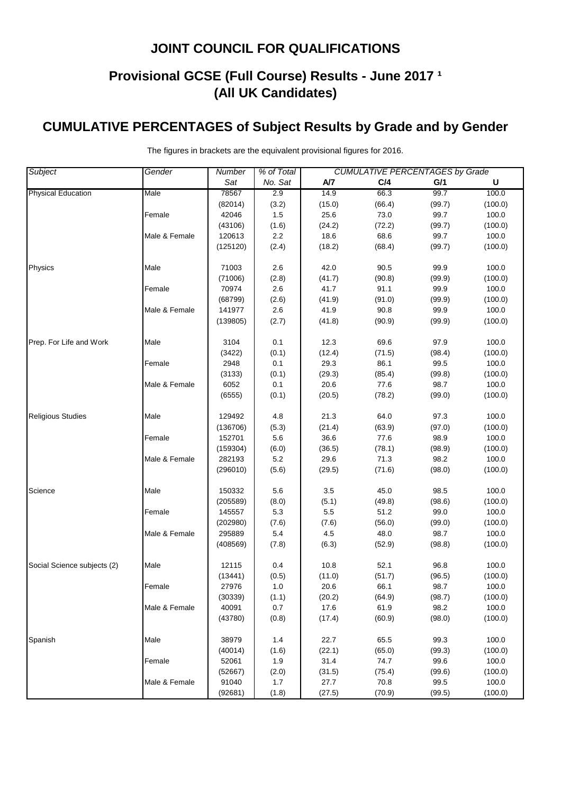# **Provisional GCSE (Full Course) Results - June 2017 <sup>1</sup> (All UK Candidates)**

# **CUMULATIVE PERCENTAGES of Subject Results by Grade and by Gender**

| <b>Subject</b>              | Gender        | <b>CUMULATIVE PERCENTAGES by Grade</b><br><b>Number</b><br>% of Total |         |        |        |        |         |  |
|-----------------------------|---------------|-----------------------------------------------------------------------|---------|--------|--------|--------|---------|--|
|                             |               | Sat                                                                   | No. Sat | A/7    | C/4    | G/1    | U       |  |
| <b>Physical Education</b>   | Male          | 78567                                                                 | 2.9     | 14.9   | 66.3   | 99.7   | 100.0   |  |
|                             |               | (82014)                                                               | (3.2)   | (15.0) | (66.4) | (99.7) | (100.0) |  |
|                             | Female        | 42046                                                                 | 1.5     | 25.6   | 73.0   | 99.7   | 100.0   |  |
|                             |               | (43106)                                                               | (1.6)   | (24.2) | (72.2) | (99.7) | (100.0) |  |
|                             | Male & Female | 120613                                                                | 2.2     | 18.6   | 68.6   | 99.7   | 100.0   |  |
|                             |               | (125120)                                                              | (2.4)   | (18.2) | (68.4) | (99.7) | (100.0) |  |
| Physics                     | Male          | 71003                                                                 | 2.6     | 42.0   | 90.5   | 99.9   | 100.0   |  |
|                             |               | (71006)                                                               | (2.8)   | (41.7) | (90.8) | (99.9) | (100.0) |  |
|                             | Female        | 70974                                                                 | 2.6     | 41.7   | 91.1   | 99.9   | 100.0   |  |
|                             |               | (68799)                                                               | (2.6)   | (41.9) | (91.0) | (99.9) | (100.0) |  |
|                             | Male & Female | 141977                                                                | 2.6     | 41.9   | 90.8   | 99.9   | 100.0   |  |
|                             |               | (139805)                                                              | (2.7)   | (41.8) | (90.9) | (99.9) | (100.0) |  |
| Prep. For Life and Work     | Male          | 3104                                                                  | 0.1     | 12.3   | 69.6   | 97.9   | 100.0   |  |
|                             |               | (3422)                                                                | (0.1)   | (12.4) | (71.5) | (98.4) | (100.0) |  |
|                             | Female        | 2948                                                                  | 0.1     | 29.3   | 86.1   | 99.5   | 100.0   |  |
|                             |               | (3133)                                                                | (0.1)   | (29.3) | (85.4) | (99.8) | (100.0) |  |
|                             | Male & Female | 6052                                                                  | 0.1     | 20.6   | 77.6   | 98.7   | 100.0   |  |
|                             |               | (6555)                                                                | (0.1)   | (20.5) | (78.2) | (99.0) | (100.0) |  |
| <b>Religious Studies</b>    | Male          | 129492                                                                | 4.8     | 21.3   | 64.0   | 97.3   | 100.0   |  |
|                             |               | (136706)                                                              | (5.3)   | (21.4) | (63.9) | (97.0) | (100.0) |  |
|                             | Female        | 152701                                                                | 5.6     | 36.6   | 77.6   | 98.9   | 100.0   |  |
|                             |               | (159304)                                                              | (6.0)   | (36.5) | (78.1) | (98.9) | (100.0) |  |
|                             | Male & Female | 282193                                                                | 5.2     | 29.6   | 71.3   | 98.2   | 100.0   |  |
|                             |               | (296010)                                                              | (5.6)   | (29.5) | (71.6) | (98.0) | (100.0) |  |
| Science                     | Male          | 150332                                                                | 5.6     | 3.5    | 45.0   | 98.5   | 100.0   |  |
|                             |               | (205589)                                                              | (8.0)   | (5.1)  | (49.8) | (98.6) | (100.0) |  |
|                             | Female        | 145557                                                                | 5.3     | 5.5    | 51.2   | 99.0   | 100.0   |  |
|                             |               | (202980)                                                              | (7.6)   | (7.6)  | (56.0) | (99.0) | (100.0) |  |
|                             | Male & Female | 295889                                                                | $5.4\,$ | 4.5    | 48.0   | 98.7   | 100.0   |  |
|                             |               | (408569)                                                              | (7.8)   | (6.3)  | (52.9) | (98.8) | (100.0) |  |
| Social Science subjects (2) | Male          | 12115                                                                 | 0.4     | 10.8   | 52.1   | 96.8   | 100.0   |  |
|                             |               | (13441)                                                               | (0.5)   | (11.0) | (51.7) | (96.5) | (100.0) |  |
|                             | Female        | 27976                                                                 | $1.0$   | 20.6   | 66.1   | 98.7   | 100.0   |  |
|                             |               | (30339)                                                               | (1.1)   | (20.2) | (64.9) | (98.7) | (100.0) |  |
|                             | Male & Female | 40091                                                                 | 0.7     | 17.6   | 61.9   | 98.2   | 100.0   |  |
|                             |               | (43780)                                                               | (0.8)   | (17.4) | (60.9) | (98.0) | (100.0) |  |
| Spanish                     | Male          | 38979                                                                 | 1.4     | 22.7   | 65.5   | 99.3   | 100.0   |  |
|                             |               | (40014)                                                               | (1.6)   | (22.1) | (65.0) | (99.3) | (100.0) |  |
|                             | Female        | 52061                                                                 | 1.9     | 31.4   | 74.7   | 99.6   | 100.0   |  |
|                             |               | (52667)                                                               | (2.0)   | (31.5) | (75.4) | (99.6) | (100.0) |  |
|                             | Male & Female | 91040                                                                 | 1.7     | 27.7   | 70.8   | 99.5   | 100.0   |  |
|                             |               | (92681)                                                               | (1.8)   | (27.5) | (70.9) | (99.5) | (100.0) |  |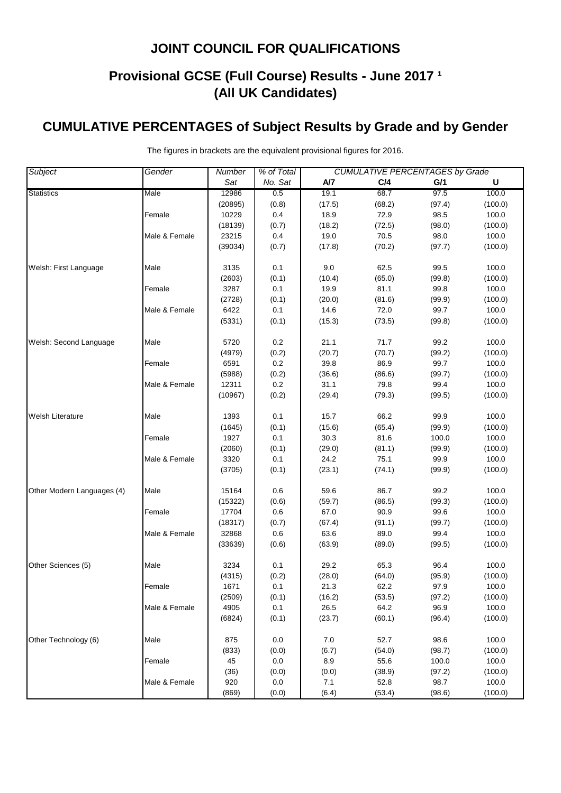# **Provisional GCSE (Full Course) Results - June 2017 <sup>1</sup> (All UK Candidates)**

# **CUMULATIVE PERCENTAGES of Subject Results by Grade and by Gender**

| <b>Subject</b>             | Gender        | % of Total<br><b>CUMULATIVE PERCENTAGES by Grade</b><br>Number |         |        |        |        |         |
|----------------------------|---------------|----------------------------------------------------------------|---------|--------|--------|--------|---------|
|                            |               | Sat                                                            | No. Sat | A/7    | C/4    | G/1    | U       |
| <b>Statistics</b>          | Male          | 12986                                                          | 0.5     | 19.1   | 68.7   | 97.5   | 100.0   |
|                            |               | (20895)                                                        | (0.8)   | (17.5) | (68.2) | (97.4) | (100.0) |
|                            | Female        | 10229                                                          | 0.4     | 18.9   | 72.9   | 98.5   | 100.0   |
|                            |               | (18139)                                                        | (0.7)   | (18.2) | (72.5) | (98.0) | (100.0) |
|                            | Male & Female | 23215                                                          | 0.4     | 19.0   | 70.5   | 98.0   | 100.0   |
|                            |               | (39034)                                                        | (0.7)   | (17.8) | (70.2) | (97.7) | (100.0) |
| Welsh: First Language      | Male          | 3135                                                           | 0.1     | 9.0    | 62.5   | 99.5   | 100.0   |
|                            |               | (2603)                                                         | (0.1)   | (10.4) | (65.0) | (99.8) | (100.0) |
|                            | Female        | 3287                                                           | 0.1     | 19.9   | 81.1   | 99.8   | 100.0   |
|                            |               | (2728)                                                         | (0.1)   | (20.0) | (81.6) | (99.9) | (100.0) |
|                            | Male & Female | 6422                                                           | 0.1     | 14.6   | 72.0   | 99.7   | 100.0   |
|                            |               | (5331)                                                         | (0.1)   | (15.3) | (73.5) | (99.8) | (100.0) |
| Welsh: Second Language     | Male          | 5720                                                           | 0.2     | 21.1   | 71.7   | 99.2   | 100.0   |
|                            |               | (4979)                                                         | (0.2)   | (20.7) | (70.7) | (99.2) | (100.0) |
|                            | Female        | 6591                                                           | 0.2     | 39.8   | 86.9   | 99.7   | 100.0   |
|                            |               | (5988)                                                         | (0.2)   | (36.6) | (86.6) | (99.7) | (100.0) |
|                            | Male & Female | 12311                                                          | $0.2\,$ | 31.1   | 79.8   | 99.4   | 100.0   |
|                            |               | (10967)                                                        | (0.2)   | (29.4) | (79.3) | (99.5) | (100.0) |
| <b>Welsh Literature</b>    | Male          | 1393                                                           | 0.1     | 15.7   | 66.2   | 99.9   | 100.0   |
|                            |               | (1645)                                                         | (0.1)   | (15.6) | (65.4) | (99.9) | (100.0) |
|                            | Female        | 1927                                                           | 0.1     | 30.3   | 81.6   | 100.0  | 100.0   |
|                            |               | (2060)                                                         | (0.1)   | (29.0) | (81.1) | (99.9) | (100.0) |
|                            | Male & Female | 3320                                                           | 0.1     | 24.2   | 75.1   | 99.9   | 100.0   |
|                            |               | (3705)                                                         | (0.1)   | (23.1) | (74.1) | (99.9) | (100.0) |
| Other Modern Languages (4) | Male          | 15164                                                          | 0.6     | 59.6   | 86.7   | 99.2   | 100.0   |
|                            |               | (15322)                                                        | (0.6)   | (59.7) | (86.5) | (99.3) | (100.0) |
|                            | Female        | 17704                                                          | 0.6     | 67.0   | 90.9   | 99.6   | 100.0   |
|                            |               | (18317)                                                        | (0.7)   | (67.4) | (91.1) | (99.7) | (100.0) |
|                            | Male & Female | 32868                                                          | $0.6\,$ | 63.6   | 89.0   | 99.4   | 100.0   |
|                            |               | (33639)                                                        | (0.6)   | (63.9) | (89.0) | (99.5) | (100.0) |
| Other Sciences (5)         | Male          | 3234                                                           | 0.1     | 29.2   | 65.3   | 96.4   | 100.0   |
|                            |               | (4315)                                                         | (0.2)   | (28.0) | (64.0) | (95.9) | (100.0) |
|                            | Female        | 1671                                                           | 0.1     | 21.3   | 62.2   | 97.9   | 100.0   |
|                            |               | (2509)                                                         | (0.1)   | (16.2) | (53.5) | (97.2) | (100.0) |
|                            | Male & Female | 4905                                                           | 0.1     | 26.5   | 64.2   | 96.9   | 100.0   |
|                            |               | (6824)                                                         | (0.1)   | (23.7) | (60.1) | (96.4) | (100.0) |
| Other Technology (6)       | Male          | 875                                                            | 0.0     | 7.0    | 52.7   | 98.6   | 100.0   |
|                            |               | (833)                                                          | (0.0)   | (6.7)  | (54.0) | (98.7) | (100.0) |
|                            | Female        | 45                                                             | 0.0     | 8.9    | 55.6   | 100.0  | 100.0   |
|                            |               | (36)                                                           | (0.0)   | (0.0)  | (38.9) | (97.2) | (100.0) |
|                            | Male & Female | 920                                                            | 0.0     | 7.1    | 52.8   | 98.7   | 100.0   |
|                            |               | (869)                                                          | (0.0)   | (6.4)  | (53.4) | (98.6) | (100.0) |